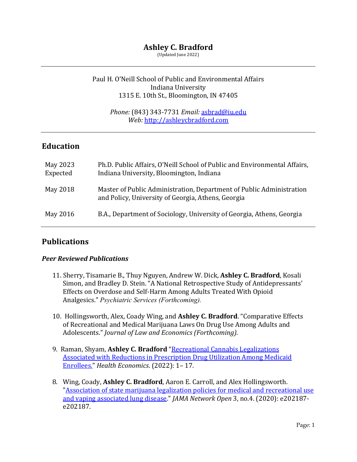## **Ashley C. Bradford**

(Updated June 2022)

### Paul H. O'Neill School of Public and Environmental Affairs Indiana University 1315 E. 10th St., Bloomington, IN 47405

*Phone:* (843) 343-7731 *Email:* asbrad@iu.edu *Web:* http://ashleycbradford.com

## **Education**

| May 2023<br>Expected | Ph.D. Public Affairs, O'Neill School of Public and Environmental Affairs,<br>Indiana University, Bloomington, Indiana      |
|----------------------|----------------------------------------------------------------------------------------------------------------------------|
| May 2018             | Master of Public Administration, Department of Public Administration<br>and Policy, University of Georgia, Athens, Georgia |
| May 2016             | B.A., Department of Sociology, University of Georgia, Athens, Georgia                                                      |

## **Publications**

### *Peer Reviewed Publications*

- 11. Sherry, Tisamarie B., Thuy Nguyen, Andrew W. Dick, Ashley C. Bradford, Kosali Simon, and Bradley D. Stein. "A National Retrospective Study of Antidepressants' Effects on Overdose and Self-Harm Among Adults Treated With Opioid Analgesics." *Psychiatric Services (Forthcoming).*
- 10. Hollingsworth, Alex, Coady Wing, and Ashley C. Bradford. "Comparative Effects of Recreational and Medical Marijuana Laws On Drug Use Among Adults and Adolescents." *Journal of Law and Economics (Forthcoming).*
- 9. Raman, Shyam, Ashley C. Bradford "Recreational Cannabis Legalizations Associated with Reductions in Prescription Drug Utilization Among Medicaid Enrollees." *Health Economics*. (2022): 1– 17.
- 8. Wing, Coady, Ashley C. Bradford, Aaron E. Carroll, and Alex Hollingsworth. "Association of state marijuana legalization policies for medical and recreational use and vaping associated lung disease." *JAMA Network Open* 3, no.4. (2020): e202187e202187.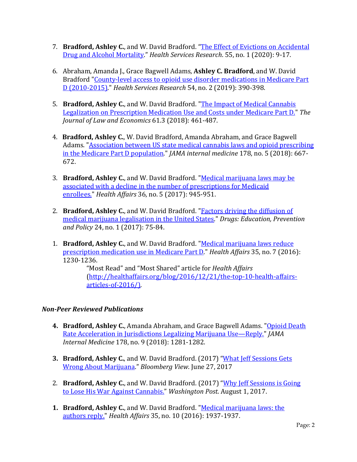- 7. **Bradford, Ashley C.**, and W. David Bradford. "The Effect of Evictions on Accidental Drug and Alcohol Mortality." *Health Services Research*. 55, no. 1 (2020): 9-17.
- 6. Abraham, Amanda J., Grace Bagwell Adams, **Ashley C. Bradford**, and W. David Bradford "County-level access to opioid use disorder medications in Medicare Part D (2010-2015)." *Health Services Research* 54, no. 2 (2019): 390-398.
- 5. **Bradford, Ashley C.**, and W. David Bradford. "The Impact of Medical Cannabis Legalization on Prescription Medication Use and Costs under Medicare Part D." The *Journal of Law and Economics* 61.3 (2018): 461-487.
- 4. **Bradford, Ashley C., W.** David Bradford, Amanda Abraham, and Grace Bagwell Adams. "Association between US state medical cannabis laws and opioid prescribing in the Medicare Part D population." *JAMA* internal medicine 178, no. 5 (2018): 667-672.
- 3. **Bradford, Ashley C.**, and W. David Bradford. "Medical marijuana laws may be associated with a decline in the number of prescriptions for Medicaid enrollees." *Health Affairs* 36, no. 5 (2017): 945-951.
- 2. **Bradford, Ashley C.**, and W. David Bradford. "Factors driving the diffusion of medical marijuana legalisation in the United States." *Drugs: Education, Prevention and Policy* 24, no. 1 (2017): 75-84.
- 1. **Bradford, Ashley C.**, and W. David Bradford. "Medical marijuana laws reduce prescription medication use in Medicare Part D." *Health Affairs* 35, no. 7 (2016): 1230-1236.

"Most Read" and "Most Shared" article for *Health Affairs* (http://healthaffairs.org/blog/2016/12/21/the-top-10-health-affairsarticles-of-2016/).

### *Non-Peer Reviewed Publications*

- **4. Bradford, Ashley C., Amanda Abraham, and Grace Bagwell Adams. "Opioid Death** Rate Acceleration in Jurisdictions Legalizing Marijuana Use—Reply." *JAMA Internal Medicine* 178, no. 9 (2018): 1281-1282.
- **3. Bradford, Ashley C., and W. David Bradford.** (2017) "What Jeff Sessions Gets Wrong About Marijuana." *Bloomberg View*. June 27, 2017
- 2. **Bradford, Ashley C.**, and W. David Bradford. (2017) "Why Jeff Sessions is Going to Lose His War Against Cannabis." Washington Post. August 1, 2017.
- **1. Bradford, Ashley C.,** and W. David Bradford. "Medical marijuana laws: the authors reply." *Health Affairs* 35, no. 10 (2016): 1937-1937.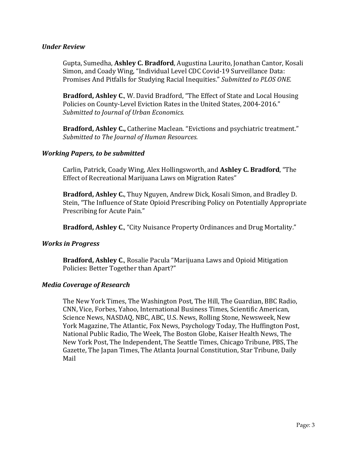### *Under Review*

Gupta, Sumedha, **Ashley C. Bradford**, Augustina Laurito, Jonathan Cantor, Kosali Simon, and Coady Wing, "Individual Level CDC Covid-19 Surveillance Data: Promises And Pitfalls for Studying Racial Inequities." Submitted to PLOS ONE.

**Bradford, Ashley C., W. David Bradford, "The Effect of State and Local Housing** Policies on County-Level Eviction Rates in the United States, 2004-2016." Submitted to *Journal of Urban Economics.* 

**Bradford, Ashley C.,** Catherine Maclean. "Evictions and psychiatric treatment." Submitted to The Journal of Human Resources.

#### **Working Papers, to be submitted**

Carlin, Patrick, Coady Wing, Alex Hollingsworth, and Ashley C. Bradford, "The Effect of Recreational Marijuana Laws on Migration Rates"

**Bradford, Ashley C.**, Thuy Nguyen, Andrew Dick, Kosali Simon, and Bradley D. Stein, "The Influence of State Opioid Prescribing Policy on Potentially Appropriate Prescribing for Acute Pain."

**Bradford, Ashley C.,** "City Nuisance Property Ordinances and Drug Mortality."

### **Works in Progress**

**Bradford, Ashley C., Rosalie Pacula "Marijuana Laws and Opioid Mitigation** Policies: Better Together than Apart?"

#### **Media Coverage of Research**

The New York Times, The Washington Post, The Hill, The Guardian, BBC Radio, CNN, Vice, Forbes, Yahoo, International Business Times, Scientific American, Science News, NASDAQ, NBC, ABC, U.S. News, Rolling Stone, Newsweek, New York Magazine, The Atlantic, Fox News, Psychology Today, The Huffington Post, National Public Radio, The Week, The Boston Globe, Kaiser Health News, The New York Post, The Independent, The Seattle Times, Chicago Tribune, PBS, The Gazette, The Japan Times, The Atlanta Journal Constitution, Star Tribune, Daily Mail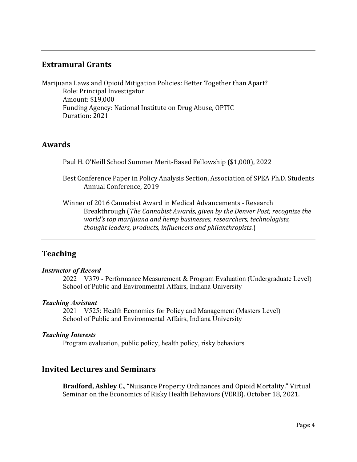## **Extramural Grants**

Marijuana Laws and Opioid Mitigation Policies: Better Together than Apart? Role: Principal Investigator Amount: \$19,000 Funding Agency: National Institute on Drug Abuse, OPTIC Duration: 2021

### **Awards**

Paul H. O'Neill School Summer Merit-Based Fellowship (\$1,000), 2022

Best Conference Paper in Policy Analysis Section, Association of SPEA Ph.D. Students Annual Conference, 2019

Winner of 2016 Cannabist Award in Medical Advancements - Research Breakthrough (*The Cannabist Awards, given by the Denver Post, recognize the world's* top marijuana and hemp businesses, researchers, technologists, *thought leaders, products, influencers and philanthropists.*)

## **Teaching**

### *Instructor of Record*

2022 V379 - Performance Measurement & Program Evaluation (Undergraduate Level) School of Public and Environmental Affairs, Indiana University

### *Teaching Assistant*

2021 V525: Health Economics for Policy and Management (Masters Level) School of Public and Environmental Affairs, Indiana University

### *Teaching Interests*

Program evaluation, public policy, health policy, risky behaviors

### **Invited Lectures and Seminars**

**Bradford, Ashley C.**, "Nuisance Property Ordinances and Opioid Mortality." Virtual Seminar on the Economics of Risky Health Behaviors (VERB). October 18, 2021.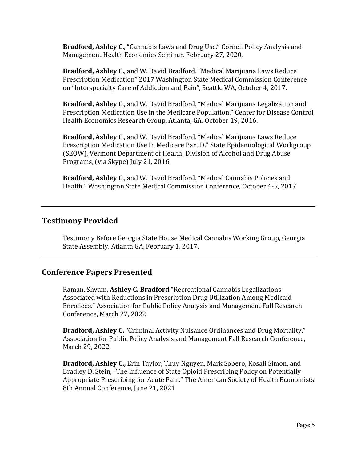**Bradford, Ashley C.**, "Cannabis Laws and Drug Use." Cornell Policy Analysis and Management Health Economics Seminar. February 27, 2020.

**Bradford, Ashley C.**, and W. David Bradford. "Medical Marijuana Laws Reduce Prescription Medication" 2017 Washington State Medical Commission Conference on "Interspecialty Care of Addiction and Pain", Seattle WA, October 4, 2017.

**Bradford, Ashley C., and W. David Bradford. "Medical Marijuana Legalization and** Prescription Medication Use in the Medicare Population." Center for Disease Control Health Economics Research Group, Atlanta, GA. October 19, 2016.

**Bradford, Ashley C., and W. David Bradford. "Medical Marijuana Laws Reduce** Prescription Medication Use In Medicare Part D." State Epidemiological Workgroup (SEOW), Vermont Department of Health, Division of Alcohol and Drug Abuse Programs, (via Skype) July 21, 2016.

**Bradford, Ashley C., and W. David Bradford. "Medical Cannabis Policies and** Health." Washington State Medical Commission Conference, October 4-5, 2017.

### **Testimony Provided**

Testimony Before Georgia State House Medical Cannabis Working Group, Georgia State Assembly, Atlanta GA, February 1, 2017.

### **Conference Papers Presented**

Raman, Shyam, Ashley C. Bradford "Recreational Cannabis Legalizations Associated with Reductions in Prescription Drug Utilization Among Medicaid Enrollees." Association for Public Policy Analysis and Management Fall Research Conference, March 27, 2022

**Bradford, Ashley C.** "Criminal Activity Nuisance Ordinances and Drug Mortality." Association for Public Policy Analysis and Management Fall Research Conference, March 29, 2022

**Bradford, Ashley C.,** Erin Taylor, Thuy Nguyen, Mark Sobero, Kosali Simon, and Bradley D. Stein, "The Influence of State Opioid Prescribing Policy on Potentially Appropriate Prescribing for Acute Pain." The American Society of Health Economists 8th Annual Conference, June 21, 2021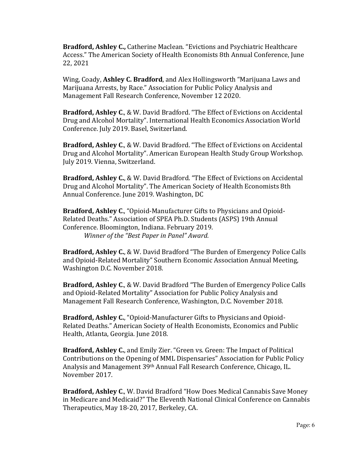**Bradford, Ashley C.,** Catherine Maclean. "Evictions and Psychiatric Healthcare Access." The American Society of Health Economists 8th Annual Conference, June 22, 2021

Wing, Coady, Ashley C. Bradford, and Alex Hollingsworth "Marijuana Laws and Marijuana Arrests, by Race." Association for Public Policy Analysis and Management Fall Research Conference, November 12 2020.

**Bradford, Ashley C., & W. David Bradford. "The Effect of Evictions on Accidental** Drug and Alcohol Mortality". International Health Economics Association World Conference. July 2019. Basel, Switzerland.

**Bradford, Ashley C., & W. David Bradford. "The Effect of Evictions on Accidental** Drug and Alcohol Mortality". American European Health Study Group Workshop. July 2019. Vienna, Switzerland.

**Bradford, Ashley C., & W. David Bradford.** "The Effect of Evictions on Accidental Drug and Alcohol Mortality". The American Society of Health Economists 8th Annual Conference. June 2019. Washington, DC

**Bradford, Ashley C.,** "Opioid-Manufacturer Gifts to Physicians and Opioid-Related Deaths." Association of SPEA Ph.D. Students (ASPS) 19th Annual Conference. Bloomington, Indiana. February 2019. *Winner of the "Best Paper in Panel" Award.* 

**Bradford, Ashley C., & W. David Bradford "The Burden of Emergency Police Calls** and Opioid-Related Mortality" Southern Economic Association Annual Meeting, Washington D.C. November 2018.

**Bradford, Ashley C., & W. David Bradford "The Burden of Emergency Police Calls** and Opioid-Related Mortality" Association for Public Policy Analysis and Management Fall Research Conference, Washington, D.C. November 2018.

**Bradford, Ashley C.**, "Opioid-Manufacturer Gifts to Physicians and Opioid-Related Deaths." American Society of Health Economists, Economics and Public Health, Atlanta, Georgia. June 2018.

**Bradford, Ashley C.,** and Emily Zier. "Green vs. Green: The Impact of Political Contributions on the Opening of MML Dispensaries" Association for Public Policy Analysis and Management 39<sup>th</sup> Annual Fall Research Conference, Chicago, IL. November 2017.

**Bradford, Ashley C., W. David Bradford "How Does Medical Cannabis Save Money** in Medicare and Medicaid?" The Eleventh National Clinical Conference on Cannabis Therapeutics, May 18-20, 2017, Berkeley, CA.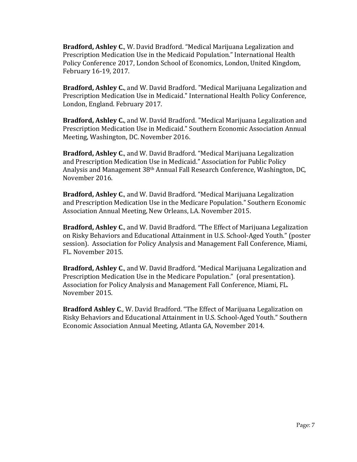**Bradford, Ashley C., W. David Bradford.** "Medical Marijuana Legalization and Prescription Medication Use in the Medicaid Population." International Health Policy Conference 2017, London School of Economics, London, United Kingdom, February 16-19, 2017.

**Bradford, Ashley C.**, and W. David Bradford. "Medical Marijuana Legalization and Prescription Medication Use in Medicaid." International Health Policy Conference, London, England. February 2017.

**Bradford, Ashley C.**, and W. David Bradford. "Medical Marijuana Legalization and Prescription Medication Use in Medicaid." Southern Economic Association Annual Meeting, Washington, DC. November 2016.

**Bradford, Ashley C., and W. David Bradford. "Medical Marijuana Legalization** and Prescription Medication Use in Medicaid." Association for Public Policy Analysis and Management 38<sup>th</sup> Annual Fall Research Conference, Washington, DC, November 2016.

**Bradford, Ashley C., and W. David Bradford.** "Medical Marijuana Legalization and Prescription Medication Use in the Medicare Population." Southern Economic Association Annual Meeting, New Orleans, LA. November 2015.

**Bradford, Ashley C., and W. David Bradford. "The Effect of Marijuana Legalization** on Risky Behaviors and Educational Attainment in U.S. School-Aged Youth." (poster session). Association for Policy Analysis and Management Fall Conference, Miami, FL. November 2015.

**Bradford, Ashley C., and W. David Bradford. "Medical Marijuana Legalization and** Prescription Medication Use in the Medicare Population." (oral presentation). Association for Policy Analysis and Management Fall Conference, Miami, FL. November 2015.

**Bradford Ashley C., W.** David Bradford. "The Effect of Marijuana Legalization on Risky Behaviors and Educational Attainment in U.S. School-Aged Youth." Southern Economic Association Annual Meeting, Atlanta GA, November 2014.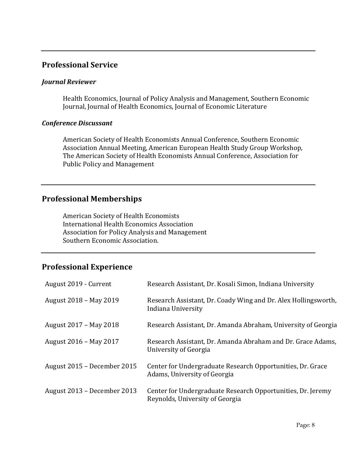## **Professional Service**

### *Journal Reviewer*

Health Economics, Journal of Policy Analysis and Management, Southern Economic Journal, Journal of Health Economics, Journal of Economic Literature

### *Conference Discussant*

American Society of Health Economists Annual Conference, Southern Economic Association Annual Meeting, American European Health Study Group Workshop, The American Society of Health Economists Annual Conference, Association for Public Policy and Management

### **Professional Memberships**

American Society of Health Economists International Health Economics Association Association for Policy Analysis and Management Southern Economic Association.

# **Professional Experience**

| August 2019 - Current       | Research Assistant, Dr. Kosali Simon, Indiana University                                       |
|-----------------------------|------------------------------------------------------------------------------------------------|
| August 2018 - May 2019      | Research Assistant, Dr. Coady Wing and Dr. Alex Hollingsworth,<br>Indiana University           |
| August 2017 - May 2018      | Research Assistant, Dr. Amanda Abraham, University of Georgia                                  |
| August 2016 - May 2017      | Research Assistant, Dr. Amanda Abraham and Dr. Grace Adams,<br>University of Georgia           |
| August 2015 – December 2015 | Center for Undergraduate Research Opportunities, Dr. Grace<br>Adams, University of Georgia     |
| August 2013 – December 2013 | Center for Undergraduate Research Opportunities, Dr. Jeremy<br>Reynolds, University of Georgia |